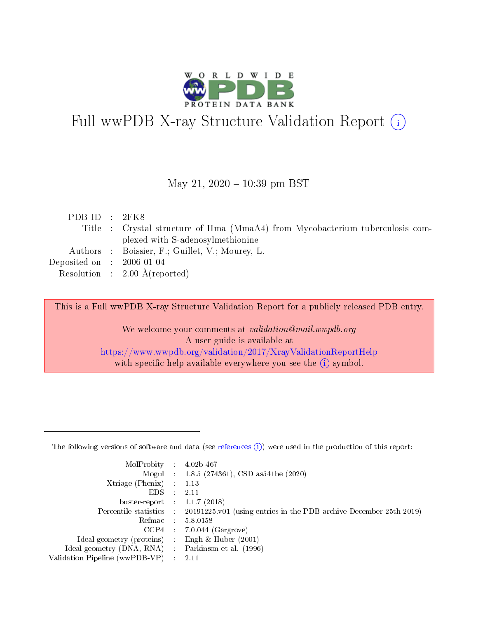

# Full wwPDB X-ray Structure Validation Report (i)

#### May 21,  $2020 - 10:39$  pm BST

| PDB ID : 2FK8 |                                                                               |
|---------------|-------------------------------------------------------------------------------|
|               | Title : Crystal structure of Hma (MmaA4) from Mycobacterium tuberculosis com- |
|               | plexed with S-adenosylmethionine                                              |
|               | Authors : Boissier, F.; Guillet, V.; Mourey, L.                               |
|               | Deposited on : $2006-01-04$                                                   |
|               | Resolution : $2.00 \text{ Å}$ (reported)                                      |

This is a Full wwPDB X-ray Structure Validation Report for a publicly released PDB entry.

We welcome your comments at validation@mail.wwpdb.org A user guide is available at <https://www.wwpdb.org/validation/2017/XrayValidationReportHelp> with specific help available everywhere you see the  $(i)$  symbol.

The following versions of software and data (see [references](https://www.wwpdb.org/validation/2017/XrayValidationReportHelp#references)  $(1)$ ) were used in the production of this report:

| MolProbity :                   |               | $4.02b - 467$                                                               |
|--------------------------------|---------------|-----------------------------------------------------------------------------|
|                                |               | Mogul : $1.8.5$ (274361), CSD as 541be (2020)                               |
| Xtriage (Phenix)               | $\mathcal{L}$ | 1.13                                                                        |
| EDS.                           |               | 2.11                                                                        |
| buster-report : $1.1.7$ (2018) |               |                                                                             |
| Percentile statistics :        |               | $20191225 \text{v}01$ (using entries in the PDB archive December 25th 2019) |
| Refmac :                       |               | 5.8.0158                                                                    |
| CCP4                           |               | $7.0.044$ (Gargrove)                                                        |
| Ideal geometry (proteins) :    |               | Engh $\&$ Huber (2001)                                                      |
| Ideal geometry (DNA, RNA) :    |               | Parkinson et al. (1996)                                                     |
| Validation Pipeline (wwPDB-VP) | $\mathcal{L}$ | 2.11                                                                        |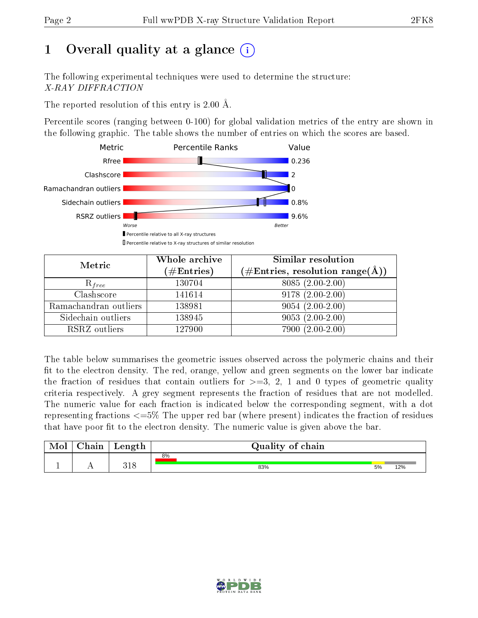# 1 [O](https://www.wwpdb.org/validation/2017/XrayValidationReportHelp#overall_quality)verall quality at a glance  $(i)$

The following experimental techniques were used to determine the structure: X-RAY DIFFRACTION

The reported resolution of this entry is 2.00 Å.

Percentile scores (ranging between 0-100) for global validation metrics of the entry are shown in the following graphic. The table shows the number of entries on which the scores are based.



| Metric                | Whole archive<br>$(\#\mathrm{Entries})$ | Similar resolution<br>$(\#\text{Entries},\,\text{resolution}\,\,\text{range}(\textup{\AA}))$ |
|-----------------------|-----------------------------------------|----------------------------------------------------------------------------------------------|
| $R_{free}$            | 130704                                  | $8085(2.00-2.00)$                                                                            |
| Clashscore            | 141614                                  | $9178(2.00-2.00)$                                                                            |
| Ramachandran outliers | 138981                                  | $9054(2.00-2.00)$                                                                            |
| Sidechain outliers    | 138945                                  | $9053(2.00-2.00)$                                                                            |
| RSRZ outliers         | 127900                                  | $7900(2.00-2.00)$                                                                            |

The table below summarises the geometric issues observed across the polymeric chains and their fit to the electron density. The red, orange, yellow and green segments on the lower bar indicate the fraction of residues that contain outliers for  $>=3, 2, 1$  and 0 types of geometric quality criteria respectively. A grey segment represents the fraction of residues that are not modelled. The numeric value for each fraction is indicated below the corresponding segment, with a dot representing fractions <=5% The upper red bar (where present) indicates the fraction of residues that have poor fit to the electron density. The numeric value is given above the bar.

| Mol           | hain | Length     | Quality of chain |    |     |  |  |  |  |
|---------------|------|------------|------------------|----|-----|--|--|--|--|
|               |      |            | 8%               |    |     |  |  |  |  |
| <u>. на п</u> | . .  | 210<br>J⊥C | 83%              | 5% | 12% |  |  |  |  |

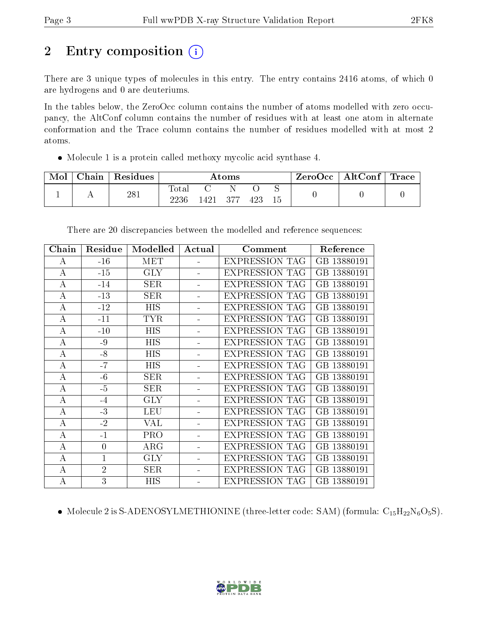# 2 Entry composition  $\left( \cdot \right)$

There are 3 unique types of molecules in this entry. The entry contains 2416 atoms, of which 0 are hydrogens and 0 are deuteriums.

In the tables below, the ZeroOcc column contains the number of atoms modelled with zero occupancy, the AltConf column contains the number of residues with at least one atom in alternate conformation and the Trace column contains the number of residues modelled with at most 2 atoms.

Molecule 1 is a protein called methoxy mycolic acid synthase 4.

| Mol | Chain | <sup>'</sup> Residues | Atoms         |      |      |     | ZeroOcc | $\mid$ AltConf $\mid$ Trace $\mid$ |  |  |
|-----|-------|-----------------------|---------------|------|------|-----|---------|------------------------------------|--|--|
|     |       | 281                   | Totar<br>2236 | 1421 | -377 | 423 | 15      |                                    |  |  |

| Chain            | Residue        | Modelled   | Actual         | Comment               | Reference   |
|------------------|----------------|------------|----------------|-----------------------|-------------|
| А                | $-16$          | <b>MET</b> |                | <b>EXPRESSION TAG</b> | GB 13880191 |
| $\bf{A}$         | $-15$          | <b>GLY</b> |                | <b>EXPRESSION TAG</b> | GB 13880191 |
| A                | $-14$          | <b>SER</b> |                | <b>EXPRESSION TAG</b> | GB 13880191 |
| $\bf{A}$         | $-13$          | <b>SER</b> | $\blacksquare$ | <b>EXPRESSION TAG</b> | GB 13880191 |
| A                | $-12$          | <b>HIS</b> |                | <b>EXPRESSION TAG</b> | GB 13880191 |
| A                | $-11$          | <b>TYR</b> |                | <b>EXPRESSION TAG</b> | GB 13880191 |
| А                | $-10$          | <b>HIS</b> |                | <b>EXPRESSION TAG</b> | GB 13880191 |
| A                | $-9$           | <b>HIS</b> |                | <b>EXPRESSION TAG</b> | GB 13880191 |
| $\bf{A}$         | $-8$           | <b>HIS</b> |                | <b>EXPRESSION TAG</b> | GB 13880191 |
| A                | $-7$           | <b>HIS</b> |                | <b>EXPRESSION TAG</b> | GB 13880191 |
| $\boldsymbol{A}$ | $-6$           | <b>SER</b> |                | <b>EXPRESSION TAG</b> | GB 13880191 |
| A                | $-5$           | SER        |                | <b>EXPRESSION TAG</b> | GB 13880191 |
| $\bf{A}$         | $-4$           | <b>GLY</b> |                | <b>EXPRESSION TAG</b> | GB 13880191 |
| A                | $-3$           | <b>LEU</b> |                | <b>EXPRESSION TAG</b> | GB 13880191 |
| А                | $-2$           | VAL        |                | <b>EXPRESSION TAG</b> | GB 13880191 |
| A                | $-1$           | <b>PRO</b> |                | <b>EXPRESSION TAG</b> | GB 13880191 |
| A                | $\overline{0}$ | $\rm{ARG}$ |                | <b>EXPRESSION TAG</b> | GB 13880191 |
| A                | $\mathbf{1}$   | <b>GLY</b> |                | <b>EXPRESSION TAG</b> | GB 13880191 |
| A                | $\overline{2}$ | <b>SER</b> |                | <b>EXPRESSION TAG</b> | GB 13880191 |
| $\bf{A}$         | $\overline{3}$ | <b>HIS</b> |                | <b>EXPRESSION TAG</b> | GB 13880191 |

There are 20 discrepancies between the modelled and reference sequences:

• Molecule 2 is S-ADENOSYLMETHIONINE (three-letter code: SAM) (formula:  $C_{15}H_{22}N_6O_5S$ ).

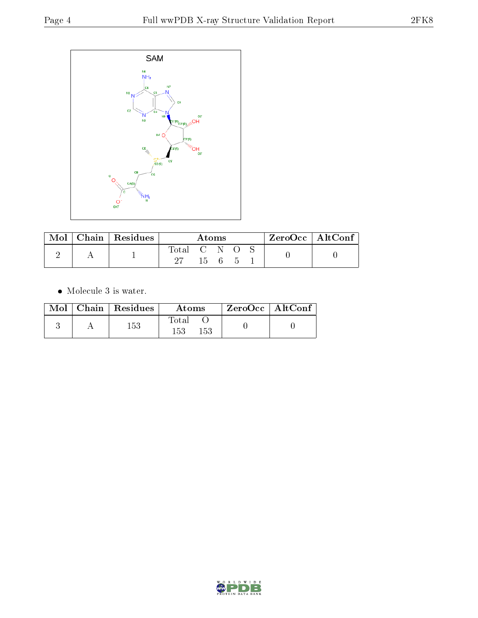

| Mol | Chain   Residues | Atoms       |              |  | $ZeroOcc \   \ AltConf \  $ |  |  |
|-----|------------------|-------------|--------------|--|-----------------------------|--|--|
|     |                  | Total C N O |              |  |                             |  |  |
|     |                  |             | $15 \quad 6$ |  |                             |  |  |

 $\bullet\,$  Molecule 3 is water.

|  | $\text{Mol}$   Chain   Residues | Atoms               | $\mid$ ZeroOcc $\mid$ AltConf $\mid$ |  |
|--|---------------------------------|---------------------|--------------------------------------|--|
|  | 153                             | Total<br>153<br>153 |                                      |  |

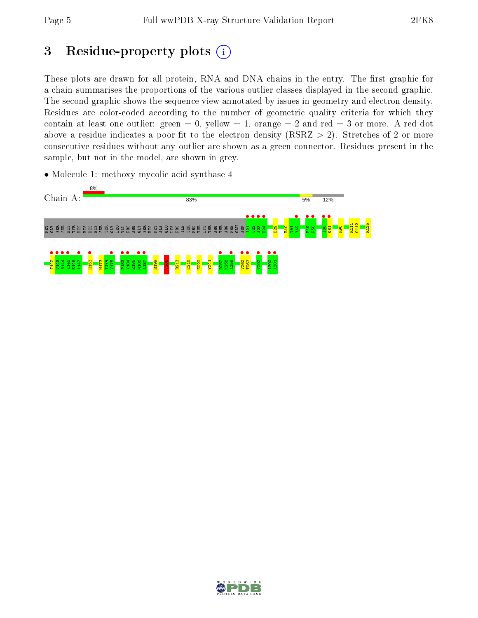# 3 Residue-property plots  $(i)$

These plots are drawn for all protein, RNA and DNA chains in the entry. The first graphic for a chain summarises the proportions of the various outlier classes displayed in the second graphic. The second graphic shows the sequence view annotated by issues in geometry and electron density. Residues are color-coded according to the number of geometric quality criteria for which they contain at least one outlier: green  $= 0$ , yellow  $= 1$ , orange  $= 2$  and red  $= 3$  or more. A red dot above a residue indicates a poor fit to the electron density (RSRZ  $> 2$ ). Stretches of 2 or more consecutive residues without any outlier are shown as a green connector. Residues present in the sample, but not in the model, are shown in grey.

• Molecule 1: methoxy mycolic acid synthase 4



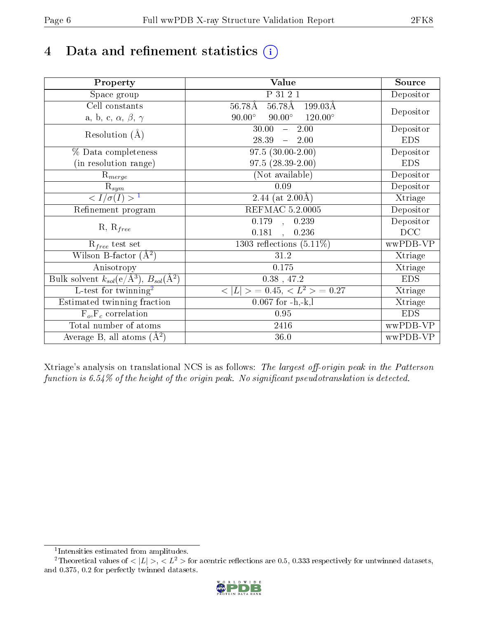# 4 Data and refinement statistics  $(i)$

| Property                                                             | Value                                                 | Source     |
|----------------------------------------------------------------------|-------------------------------------------------------|------------|
| Space group                                                          | P 31 2 1                                              | Depositor  |
| Cell constants                                                       | $56.78\text{\AA}$<br>$56.78\text{\AA}$<br>$199.03\AA$ |            |
| a, b, c, $\alpha$ , $\beta$ , $\gamma$                               | $90.00^\circ$<br>$90.00^\circ$<br>$120.00^\circ$      | Depositor  |
| Resolution $(A)$                                                     | 30.00<br>2.00<br>$\frac{1}{2}$                        | Depositor  |
|                                                                      | 28.39<br>$-2.00$                                      | <b>EDS</b> |
| % Data completeness                                                  | $97.5(30.00-2.00)$                                    | Depositor  |
| (in resolution range)                                                | $97.5(28.39-2.00)$                                    | <b>EDS</b> |
| $R_{merge}$                                                          | (Not available)                                       | Depositor  |
| $\mathrm{R}_{sym}$                                                   | 0.09                                                  | Depositor  |
| $\sqrt{I/\sigma}(I) > 1$                                             | 2.44 (at $2.00\text{\AA}$ )                           | Xtriage    |
| Refinement program                                                   | REFMAC 5.2.0005                                       | Depositor  |
|                                                                      | $\overline{0.179}$ ,<br>0.239                         | Depositor  |
| $R, R_{free}$                                                        | 0.181<br>0.236                                        | DCC        |
| $R_{free}$ test set                                                  | 1303 reflections $(5.11\%)$                           | wwPDB-VP   |
| Wilson B-factor $(A^2)$                                              | 31.2                                                  | Xtriage    |
| Anisotropy                                                           | 0.175                                                 | Xtriage    |
| Bulk solvent $k_{sol}(e/\mathring{A}^3)$ , $B_{sol}(\mathring{A}^2)$ | $0.38$ , 47.2                                         | <b>EDS</b> |
| L-test for twinning <sup>2</sup>                                     | $< L >$ = 0.45, $< L^2 >$ = 0.27                      | Xtriage    |
| Estimated twinning fraction                                          | $0.067$ for $-h,-k,l$                                 | Xtriage    |
| $F_o, F_c$ correlation                                               | 0.95                                                  | <b>EDS</b> |
| Total number of atoms                                                | 2416                                                  | wwPDB-VP   |
| Average B, all atoms $(A^2)$                                         | 36.0                                                  | wwPDB-VP   |

Xtriage's analysis on translational NCS is as follows: The largest off-origin peak in the Patterson function is  $6.54\%$  of the height of the origin peak. No significant pseudotranslation is detected.

<sup>&</sup>lt;sup>2</sup>Theoretical values of  $\langle |L| \rangle$ ,  $\langle L^2 \rangle$  for acentric reflections are 0.5, 0.333 respectively for untwinned datasets, and 0.375, 0.2 for perfectly twinned datasets.



<span id="page-5-1"></span><span id="page-5-0"></span><sup>1</sup> Intensities estimated from amplitudes.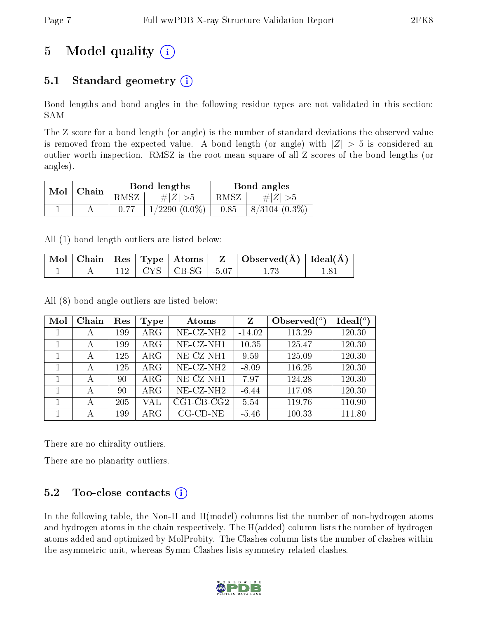# 5 Model quality  $(i)$

### 5.1 Standard geometry  $(i)$

Bond lengths and bond angles in the following residue types are not validated in this section: SAM

The Z score for a bond length (or angle) is the number of standard deviations the observed value is removed from the expected value. A bond length (or angle) with  $|Z| > 5$  is considered an outlier worth inspection. RMSZ is the root-mean-square of all Z scores of the bond lengths (or angles).

| Mol | Chain |      | Bond lengths    |      | Bond angles        |
|-----|-------|------|-----------------|------|--------------------|
|     |       | RMSZ | # $ Z  > 5$     | RMSZ | # $ Z  > 5$        |
|     |       |      | $1/2290(0.0\%)$ | 0.85 | $8/3104$ $(0.3\%)$ |

All (1) bond length outliers are listed below:

|  |  |                             | $\mid$ Mol $\mid$ Chain $\mid$ Res $\mid$ Type $\mid$ Atoms $\mid$ $\mid$ Z $\mid$ Observed(Å) $\mid$ Ideal(Å) $\mid$ |  |
|--|--|-----------------------------|-----------------------------------------------------------------------------------------------------------------------|--|
|  |  | $112$   CYS   CB-SG   -5.07 |                                                                                                                       |  |

All (8) bond angle outliers are listed below:

| Mol | Chain | Res | Type       | Atoms                    | Z        | Observed $\binom{o}{c}$ | $Ideal(^o)$ |
|-----|-------|-----|------------|--------------------------|----------|-------------------------|-------------|
|     | А     | 199 | $\rm{ARG}$ | $NE$ -CZ-NH <sub>2</sub> | $-14.02$ | 113.29                  | 120.30      |
|     | А     | 199 | $\rm{ARG}$ | $NE- CZ-NH1$             | 10.35    | 125.47                  | 120.30      |
|     | А     | 125 | $\rm{ARG}$ | $NE- CZ-NH1$             | 9.59     | 125.09                  | 120.30      |
|     | А     | 125 | $\rm{ARG}$ | $NE- CZ-NH2$             | $-8.09$  | 116.25                  | 120.30      |
|     | А     | 90  | $\rm{ARG}$ | $NE- CZ-NH1$             | 7.97     | 124.28                  | 120.30      |
|     | А     | 90  | $\rm{ARG}$ | $NE- CZ-NH2$             | $-6.44$  | 117.08                  | 120.30      |
|     | А     | 205 | VAL        | $CG1$ -CB-CG2            | 5.54     | 119.76                  | 110.90      |
|     | А     | 199 | $\rm{ARG}$ | $CG$ - $CD$ - $NE$       | $-5.46$  | 100.33                  | 111.80      |

There are no chirality outliers.

There are no planarity outliers.

### $5.2$  Too-close contacts  $\overline{()}$

In the following table, the Non-H and H(model) columns list the number of non-hydrogen atoms and hydrogen atoms in the chain respectively. The H(added) column lists the number of hydrogen atoms added and optimized by MolProbity. The Clashes column lists the number of clashes within the asymmetric unit, whereas Symm-Clashes lists symmetry related clashes.

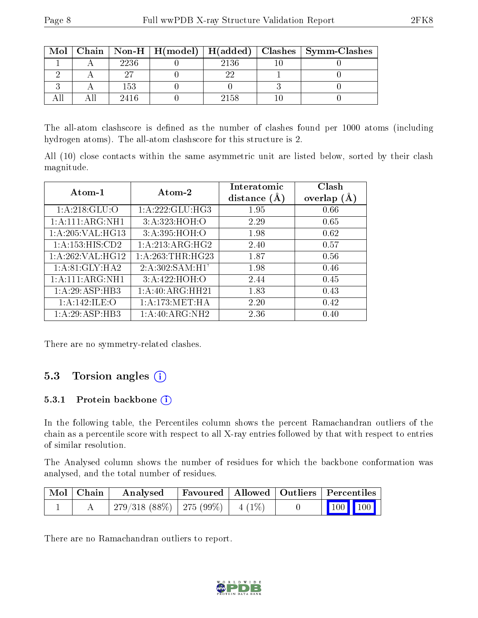| Mol |      |      | Chain   Non-H   H(model)   H(added)   Clashes   Symm-Clashes |
|-----|------|------|--------------------------------------------------------------|
|     | 2236 | 2136 |                                                              |
|     |      |      |                                                              |
|     | 153  |      |                                                              |
|     | 2416 | 2158 |                                                              |

The all-atom clashscore is defined as the number of clashes found per 1000 atoms (including hydrogen atoms). The all-atom clashscore for this structure is 2.

All (10) close contacts within the same asymmetric unit are listed below, sorted by their clash magnitude.

| Atom-1             | Atom-2             | Interatomic<br>distance $(A)$ | Clash<br>overlap $(A)$ |
|--------------------|--------------------|-------------------------------|------------------------|
| 1: A:218: GLU:O    | 1:A:222:GLU:HG3    | 1.95                          | 0.66                   |
| 1:A:111:ARG:NH1    | 3:A:323:HOH:O      | 2.29                          | 0.65                   |
| 1: A:205: VAL:HG13 | 3:A:395:HOH:O      | 1.98                          | 0.62                   |
| 1:A:153:HIS:CD2    | 1: A:213: ARG: HG2 | 2.40                          | 0.57                   |
| 1:A:262:VAL:HG12   | 1: A:263:THR:HG23  | 1.87                          | 0.56                   |
| 1:A:81:GLY:HA2     | 2:A:302:SAM:H1'    | 1.98                          | 0.46                   |
| 1:A:111:ARG:NH1    | 3:A:422:HOH:O      | 2.44                          | 0.45                   |
| 1:A:29:ASP:HB3     | 1:A:40:ARG:HH21    | 1.83                          | 0.43                   |
| 1:A:142:ILE:O      | 1: A:173:MET:HA    | 2.20                          | 0.42                   |
| 1:A:29:ASP:HB3     | 1:A:40:ARG:NH2     | 2.36                          | 0.40                   |

There are no symmetry-related clashes.

### 5.3 Torsion angles (i)

#### 5.3.1 Protein backbone (i)

In the following table, the Percentiles column shows the percent Ramachandran outliers of the chain as a percentile score with respect to all X-ray entries followed by that with respect to entries of similar resolution.

The Analysed column shows the number of residues for which the backbone conformation was analysed, and the total number of residues.

| Mol   Chain | $\boldsymbol{\mathrm{Analysed}}$                  | Favoured   Allowed   Outliers   Percentiles |  |                         |  |
|-------------|---------------------------------------------------|---------------------------------------------|--|-------------------------|--|
|             | $\frac{1}{279/318}$ (88\%)   275 (99\%)   4 (1\%) |                                             |  | $\vert$ 100 100 $\vert$ |  |

There are no Ramachandran outliers to report.

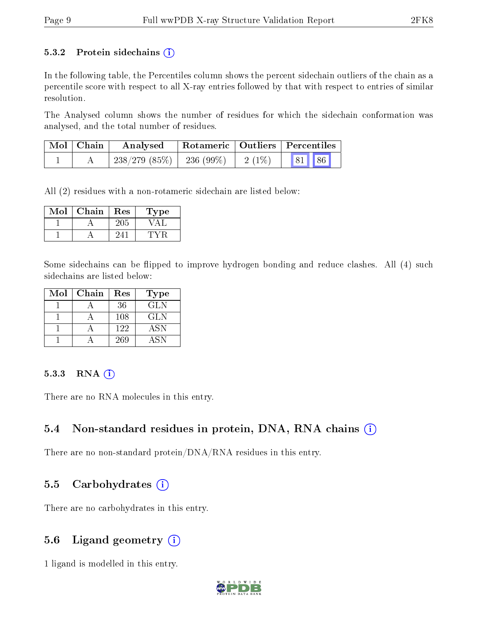#### 5.3.2 Protein sidechains  $(i)$

In the following table, the Percentiles column shows the percent sidechain outliers of the chain as a percentile score with respect to all X-ray entries followed by that with respect to entries of similar resolution.

The Analysed column shows the number of residues for which the sidechain conformation was analysed, and the total number of residues.

| Mol   Chain | Analysed                                | Rotameric   Outliers   Percentiles |       |  |
|-------------|-----------------------------------------|------------------------------------|-------|--|
|             | $238/279$ (85\%)   236 (99\%)   2 (1\%) |                                    | 81 86 |  |

All (2) residues with a non-rotameric sidechain are listed below:

| Mol | Chain | $\operatorname{Res}% \left( \mathcal{N}\right) \equiv\operatorname{Res}(\mathcal{N}_{0})\cap\mathcal{N}_{1}$ | ype |
|-----|-------|--------------------------------------------------------------------------------------------------------------|-----|
|     |       | 205                                                                                                          |     |
|     |       |                                                                                                              |     |

Some sidechains can be flipped to improve hydrogen bonding and reduce clashes. All (4) such sidechains are listed below:

| Mol | Chain | Res | <b>Type</b> |
|-----|-------|-----|-------------|
|     |       | 36  | <b>GLN</b>  |
|     |       | 108 | <b>GLN</b>  |
|     |       | 122 | <b>ASN</b>  |
|     |       | 269 | A SN        |

#### 5.3.3 RNA (i)

There are no RNA molecules in this entry.

#### 5.4 Non-standard residues in protein, DNA, RNA chains (i)

There are no non-standard protein/DNA/RNA residues in this entry.

#### 5.5 Carbohydrates  $(i)$

There are no carbohydrates in this entry.

#### 5.6 Ligand geometry  $(i)$

1 ligand is modelled in this entry.

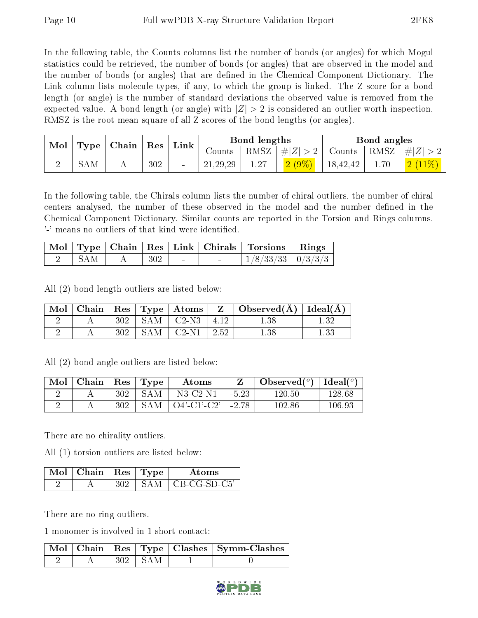In the following table, the Counts columns list the number of bonds (or angles) for which Mogul statistics could be retrieved, the number of bonds (or angles) that are observed in the model and the number of bonds (or angles) that are dened in the Chemical Component Dictionary. The Link column lists molecule types, if any, to which the group is linked. The Z score for a bond length (or angle) is the number of standard deviations the observed value is removed from the expected value. A bond length (or angle) with  $|Z| > 2$  is considered an outlier worth inspection. RMSZ is the root-mean-square of all Z scores of the bond lengths (or angles).

| Mol | <b>Type</b> | $ $ Chain $ $ | $\operatorname{Res}% \left( \mathcal{N}\right) \equiv\operatorname*{Res}\left( \mathcal{N}\right)$ | Link   |            | Bond lengths |            |          | Bond angles |     |
|-----|-------------|---------------|----------------------------------------------------------------------------------------------------|--------|------------|--------------|------------|----------|-------------|-----|
|     |             |               |                                                                                                    |        | Counts     | RMSZ         | Z <br>$\#$ | Counts - | RMSZ        | -#F |
|     | 5AM         |               | 302                                                                                                | $\sim$ | 21, 29, 29 | 1.27         | $2(9\%)$   | 18,42,42 | 1.70        |     |

In the following table, the Chirals column lists the number of chiral outliers, the number of chiral centers analysed, the number of these observed in the model and the number defined in the Chemical Component Dictionary. Similar counts are reported in the Torsion and Rings columns. '-' means no outliers of that kind were identified.

|       |  |                                       | Mol   Type   Chain   Res   Link   Chirals   Torsions   Rings |  |
|-------|--|---------------------------------------|--------------------------------------------------------------|--|
| – SAM |  | $\cdot$ $\cdot$ $\cdot$ 302 $\cdot$ - | $1/8/33/33$   $0/3/3/3$                                      |  |

All (2) bond length outliers are listed below:

|  |     |                            | $\vert$ Mol   Chain   Res   Type   Atoms   Z   Observed(Å)   Ideal(Å) |  |
|--|-----|----------------------------|-----------------------------------------------------------------------|--|
|  |     | $302$   SAM   C2-N3   4.12 | $1.38\,$                                                              |  |
|  | 302 | $SAM$   C2-N1   2.52       |                                                                       |  |

All (2) bond angle outliers are listed below:

| Mol | Chain | $\vert$ Res $\vert$ | $\mathbf{Type}$ | Atoms                      |         | Observed $(°)$ | Ideal $({}^o)$ |
|-----|-------|---------------------|-----------------|----------------------------|---------|----------------|----------------|
|     |       | 302                 | <b>SAM</b>      | $N3$ -C2- $N1$             | $-5.23$ | $120.50\,$     | 128.68         |
|     |       | 302                 | <b>SAM</b>      | $\cup$ O4'-C1'-C2'   -2.78 |         | 102.86         | 106.93         |

There are no chirality outliers.

All (1) torsion outliers are listed below:

| $Mol$ $\perp$ | Chain   Res   Type |       | Atoms                       |
|---------------|--------------------|-------|-----------------------------|
|               |                    | S A M | $\overline{C}$ CB-CG-SD-C5' |

There are no ring outliers.

1 monomer is involved in 1 short contact:

|  |              | Mol   Chain   Res   Type   Clashes   Symm-Clashes |
|--|--------------|---------------------------------------------------|
|  | $-302$   SAM |                                                   |

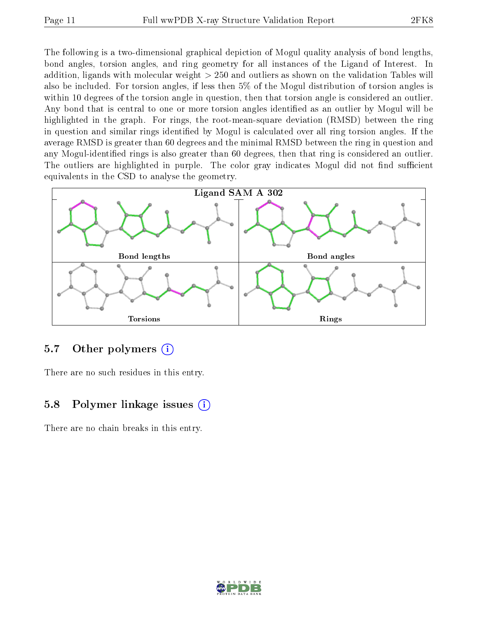The following is a two-dimensional graphical depiction of Mogul quality analysis of bond lengths, bond angles, torsion angles, and ring geometry for all instances of the Ligand of Interest. In addition, ligands with molecular weight > 250 and outliers as shown on the validation Tables will also be included. For torsion angles, if less then 5% of the Mogul distribution of torsion angles is within 10 degrees of the torsion angle in question, then that torsion angle is considered an outlier. Any bond that is central to one or more torsion angles identified as an outlier by Mogul will be highlighted in the graph. For rings, the root-mean-square deviation (RMSD) between the ring in question and similar rings identified by Mogul is calculated over all ring torsion angles. If the average RMSD is greater than 60 degrees and the minimal RMSD between the ring in question and any Mogul-identified rings is also greater than 60 degrees, then that ring is considered an outlier. The outliers are highlighted in purple. The color gray indicates Mogul did not find sufficient equivalents in the CSD to analyse the geometry.



#### 5.7 [O](https://www.wwpdb.org/validation/2017/XrayValidationReportHelp#nonstandard_residues_and_ligands)ther polymers  $(i)$

There are no such residues in this entry.

#### 5.8 Polymer linkage issues  $(i)$

There are no chain breaks in this entry.

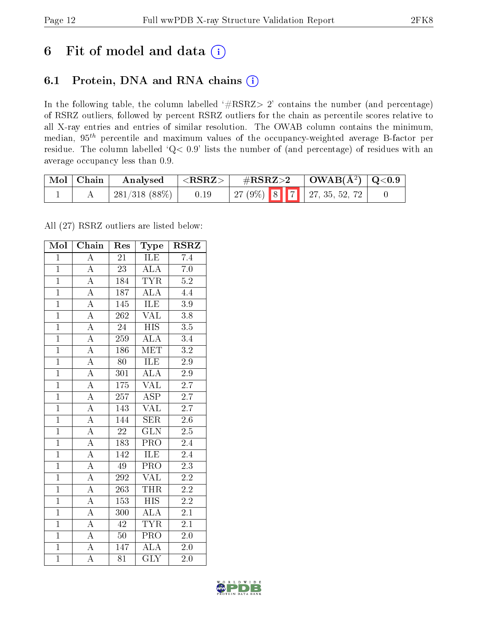## 6 Fit of model and data  $(i)$

### 6.1 Protein, DNA and RNA chains  $(i)$

In the following table, the column labelled  $#RSRZ> 2'$  contains the number (and percentage) of RSRZ outliers, followed by percent RSRZ outliers for the chain as percentile scores relative to all X-ray entries and entries of similar resolution. The OWAB column contains the minimum, median,  $95<sup>th</sup>$  percentile and maximum values of the occupancy-weighted average B-factor per residue. The column labelled ' $Q< 0.9$ ' lists the number of (and percentage) of residues with an average occupancy less than 0.9.

| $\mid$ Mol $\mid$ Chain | Analysed                  | $\langle \mathrm{RSRZ}\rangle +$ | $\rm \#RSRZ{>}2$ |  | $\vert$ OWAB( $A^2$ ) $\vert$ Q<0.9 |  |
|-------------------------|---------------------------|----------------------------------|------------------|--|-------------------------------------|--|
|                         | $\frac{1}{281}/318(88\%)$ | 0.19                             |                  |  | $\mid$ 27 (9%) 8 7 27, 35, 52, 72   |  |

All (27) RSRZ outliers are listed below:

| Mol            | Chain              | Res             | Type                        | <b>RSRZ</b>      |
|----------------|--------------------|-----------------|-----------------------------|------------------|
| $\mathbf{1}$   | $\overline{\rm A}$ | 21              | <b>ILE</b>                  | 7.4              |
| $\mathbf{1}$   | $\overline{\rm A}$ | $\overline{23}$ | $\overline{\rm ALA}$        | 7.0              |
| $\overline{1}$ | $\overline{\rm A}$ | 184             | <b>TYR</b>                  | 5.2              |
| $\overline{1}$ | $\overline{\rm A}$ | 187             | ALA                         | 4.4              |
| $\overline{1}$ | $\overline{A}$     | 145             | ILE                         | $\overline{3.9}$ |
| $\overline{1}$ | $\overline{\rm A}$ | 262             | $\overline{\text{VAL}}$     | $\overline{3.8}$ |
| $\overline{1}$ | $\overline{\rm A}$ | 24              | <b>HIS</b>                  | $\overline{3.5}$ |
| $\overline{1}$ | $\overline{\rm A}$ | 259             | $\overline{\rm ALA}$        | 3.4              |
| $\overline{1}$ | $\overline{\rm A}$ | 186             | <b>MET</b>                  | $\overline{3.2}$ |
| $\overline{1}$ | $\overline{\rm A}$ | $\overline{80}$ | <b>ILE</b>                  | $2.\overline{9}$ |
| $\overline{1}$ | $\overline{\rm A}$ | 301             | $\overline{\rm ALA}$        | $\overline{2.9}$ |
| $\overline{1}$ | $\overline{A}$     | 175             | $\overline{\text{VAL}}$     | $\overline{2.7}$ |
| $\overline{1}$ | $\overline{A}$     | 257             | $\overline{\text{ASP}}$     | $\overline{2.7}$ |
| $\overline{1}$ | $\overline{\rm A}$ | 143             | VAL                         | $\overline{2.7}$ |
| $\overline{1}$ | $\overline{\rm A}$ | 144             | SER                         | $\overline{2.6}$ |
| $\overline{1}$ | $\overline{\rm A}$ | $\overline{22}$ | $\overline{\text{GLN}}$     | $\overline{2.5}$ |
| $\overline{1}$ | $\overline{\rm A}$ | 183             | $\overline{\text{PRO}}$     | 2.4              |
| $\overline{1}$ | $\overline{\rm A}$ | 142             | ILE                         | 2.4              |
| $\mathbf{1}$   | $\overline{\rm A}$ | 49              | PRO                         | $\overline{2.3}$ |
| $\mathbf{1}$   | $\overline{\rm A}$ | 292             | $\overline{\text{VAL}}$     | $\overline{2.2}$ |
| $\overline{1}$ | $\overline{\rm A}$ | 263             | THR                         | $2.\overline{2}$ |
| $\overline{1}$ | $\overline{\rm A}$ | 153             | $\overline{HIS}$            | $\overline{2.2}$ |
| $\overline{1}$ | $\overline{\rm A}$ | 300             | $\overline{\rm ALA}$        | $\overline{2.1}$ |
| $\overline{1}$ | $\overline{A}$     | 42              | <b>TYR</b>                  | 2.1              |
| $\overline{1}$ | $\overline{\rm A}$ | 50 <sup>°</sup> | $\overline{\text{PRO}}$     | $2.0\,$          |
| $\overline{1}$ | $\overline{\rm A}$ | 147             | $\overline{A}\overline{L}A$ | $2.0\,$          |
| $\overline{1}$ | $\overline{\rm A}$ | $\overline{81}$ | $\overline{\text{GLY}}$     | $2.0\,$          |

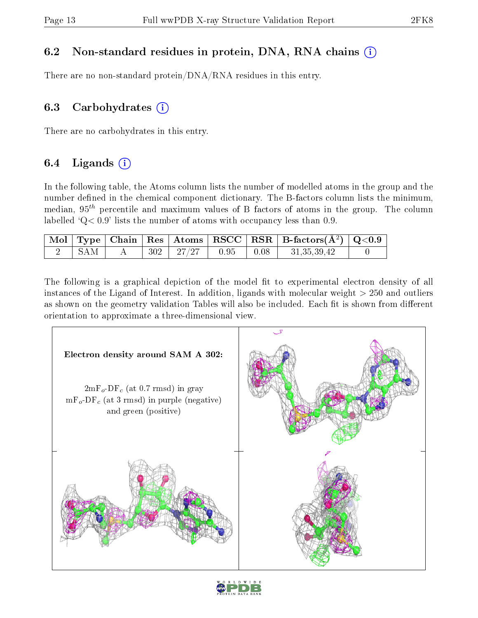### 6.2 Non-standard residues in protein, DNA, RNA chains (i)

There are no non-standard protein/DNA/RNA residues in this entry.

### 6.3 Carbohydrates  $(i)$

There are no carbohydrates in this entry.

### 6.4 Ligands  $(i)$

In the following table, the Atoms column lists the number of modelled atoms in the group and the number defined in the chemical component dictionary. The B-factors column lists the minimum, median,  $95<sup>th</sup>$  percentile and maximum values of B factors of atoms in the group. The column labelled  $Q < 0.9$ ' lists the number of atoms with occupancy less than 0.9.

|      |  |                        |                                     | $\mid$ Mol $\mid$ Type $\mid$ Chain $\mid$ Res $\mid$ Atoms $\mid$ RSCC $\mid$ RSR $\mid$ B-factors(A <sup>2</sup> ) $\mid$ Q<0.9 |  |
|------|--|------------------------|-------------------------------------|-----------------------------------------------------------------------------------------------------------------------------------|--|
| -SAM |  | $302$   $27/27$   0.95 | $\begin{array}{c} 0.08 \end{array}$ | 31,35,39,42                                                                                                                       |  |

The following is a graphical depiction of the model fit to experimental electron density of all instances of the Ligand of Interest. In addition, ligands with molecular weight  $> 250$  and outliers as shown on the geometry validation Tables will also be included. Each fit is shown from different orientation to approximate a three-dimensional view.